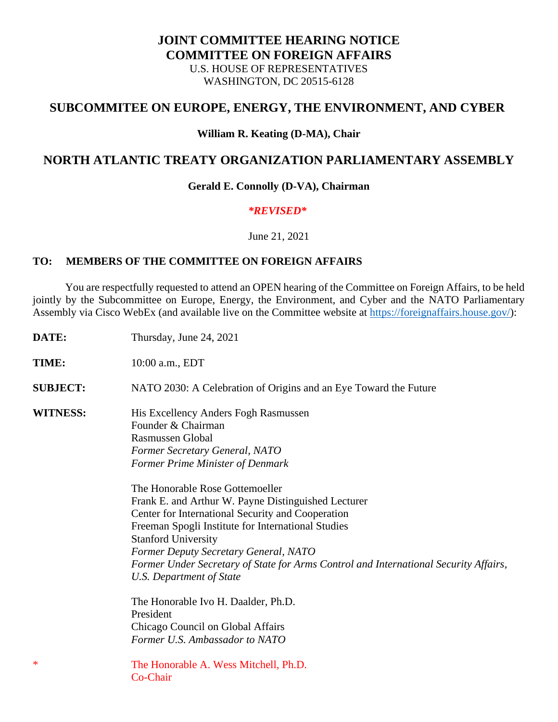## **JOINT COMMITTEE HEARING NOTICE COMMITTEE ON FOREIGN AFFAIRS** U.S. HOUSE OF REPRESENTATIVES WASHINGTON, DC 20515-6128

# **SUBCOMMITEE ON EUROPE, ENERGY, THE ENVIRONMENT, AND CYBER**

### **William R. Keating (D-MA), Chair**

## **NORTH ATLANTIC TREATY ORGANIZATION PARLIAMENTARY ASSEMBLY**

#### **Gerald E. Connolly (D-VA), Chairman**

#### *\*REVISED\**

June 21, 2021

### **TO: MEMBERS OF THE COMMITTEE ON FOREIGN AFFAIRS**

 You are respectfully requested to attend an OPEN hearing of the Committee on Foreign Affairs, to be held jointly by the Subcommittee on Europe, Energy, the Environment, and Cyber and the NATO Parliamentary Assembly via Cisco WebEx (and available live on the Committee website at [https://foreignaffairs.house.gov/\)](https://foreignaffairs.house.gov/):

**DATE:** Thursday, June 24, 2021 **TIME:** 10:00 a.m., EDT **SUBJECT:** NATO 2030: A Celebration of Origins and an Eye Toward the Future **WITNESS:** His Excellency Anders Fogh Rasmussen Founder & Chairman Rasmussen Global *Former Secretary General, NATO Former Prime Minister of Denmark* The Honorable Rose Gottemoeller Frank E. and Arthur W. Payne Distinguished Lecturer Center for International Security and Cooperation Freeman Spogli Institute for International Studies Stanford University *Former Deputy Secretary General, NATO Former Under Secretary of State for Arms Control and International Security Affairs, U.S. Department of State* The Honorable Ivo H. Daalder, Ph.D. President Chicago Council on Global Affairs *Former U.S. Ambassador to NATO* \* The Honorable A. Wess Mitchell, Ph.D. Co-Chair